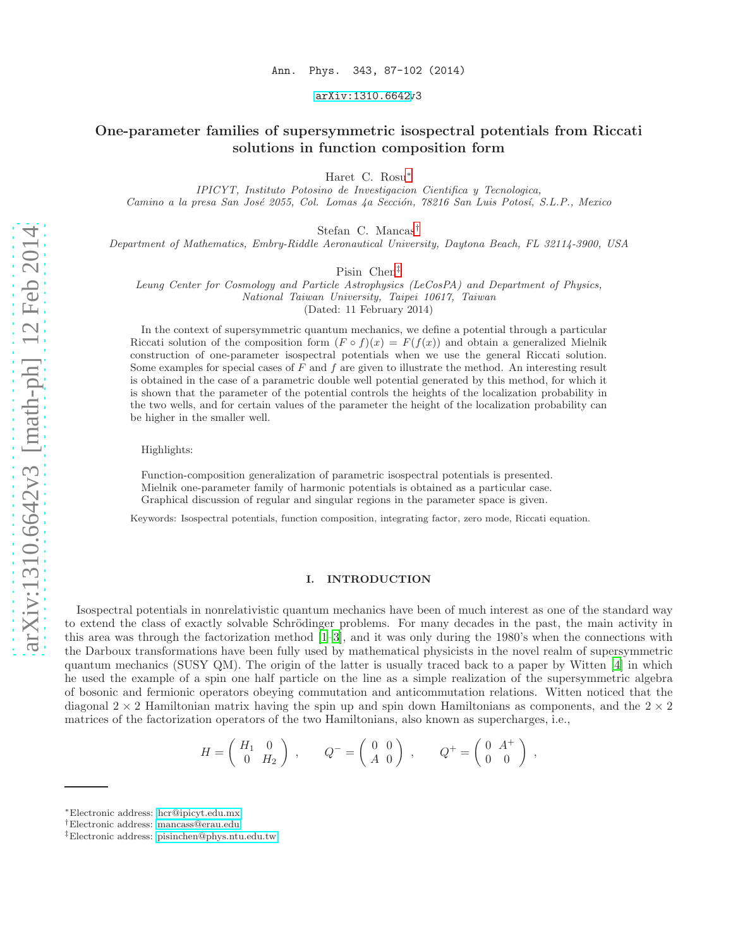[arXiv:1310.6642v](http://arxiv.org/abs/1310.6642)3

# One-parameter families of supersymmetric isospectral potentials from Riccati solutions in function composition form

Haret C. Rosu[∗](#page-0-0)

IPICYT, Instituto Potosino de Investigacion Cientifica y Tecnologica, Camino a la presa San José 2055, Col. Lomas 4a Sección, 78216 San Luis Potosí, S.L.P., Mexico

Stefan C. Mancas[†](#page-0-1)

Department of Mathematics, Embry-Riddle Aeronautical University, Daytona Beach, FL 32114-3900, USA

Pisin Chen[‡](#page-0-2)

Leung Center for Cosmology and Particle Astrophysics (LeCosPA) and Department of Physics, National Taiwan University, Taipei 10617, Taiwan (Dated: 11 February 2014)

In the context of supersymmetric quantum mechanics, we define a potential through a particular Riccati solution of the composition form  $(F \circ f)(x) = F(f(x))$  and obtain a generalized Mielnik construction of one-parameter isospectral potentials when we use the general Riccati solution. Some examples for special cases of  $F$  and  $f$  are given to illustrate the method. An interesting result is obtained in the case of a parametric double well potential generated by this method, for which it is shown that the parameter of the potential controls the heights of the localization probability in the two wells, and for certain values of the parameter the height of the localization probability can be higher in the smaller well.

Highlights:

Function-composition generalization of parametric isospectral potentials is presented. Mielnik one-parameter family of harmonic potentials is obtained as a particular case. Graphical discussion of regular and singular regions in the parameter space is given.

Keywords: Isospectral potentials, function composition, integrating factor, zero mode, Riccati equation.

## I. INTRODUCTION

Isospectral potentials in nonrelativistic quantum mechanics have been of much interest as one of the standard way to extend the class of exactly solvable Schrödinger problems. For many decades in the past, the main activity in this area was through the factorization method [\[1](#page-9-0)[–3\]](#page-9-1), and it was only during the 1980's when the connections with the Darboux transformations have been fully used by mathematical physicists in the novel realm of supersymmetric quantum mechanics (SUSY QM). The origin of the latter is usually traced back to a paper by Witten [\[4](#page-9-2)] in which he used the example of a spin one half particle on the line as a simple realization of the supersymmetric algebra of bosonic and fermionic operators obeying commutation and anticommutation relations. Witten noticed that the diagonal  $2 \times 2$  Hamiltonian matrix having the spin up and spin down Hamiltonians as components, and the  $2 \times 2$ matrices of the factorization operators of the two Hamiltonians, also known as supercharges, i.e.,

$$
H = \left(\begin{array}{cc} H_1 & 0 \\ 0 & H_2 \end{array}\right) , \qquad Q^- = \left(\begin{array}{cc} 0 & 0 \\ A & 0 \end{array}\right) , \qquad Q^+ = \left(\begin{array}{cc} 0 & A^+ \\ 0 & 0 \end{array}\right) ,
$$

<span id="page-0-0"></span><sup>∗</sup>Electronic address: [hcr@ipicyt.edu.mx](mailto:hcr@ipicyt.edu.mx)

<span id="page-0-1"></span><sup>†</sup>Electronic address: [mancass@erau.edu](mailto:mancass@erau.edu)

<span id="page-0-2"></span><sup>‡</sup>Electronic address: [pisinchen@phys.ntu.edu.tw](mailto:pisinchen@phys.ntu.edu.tw)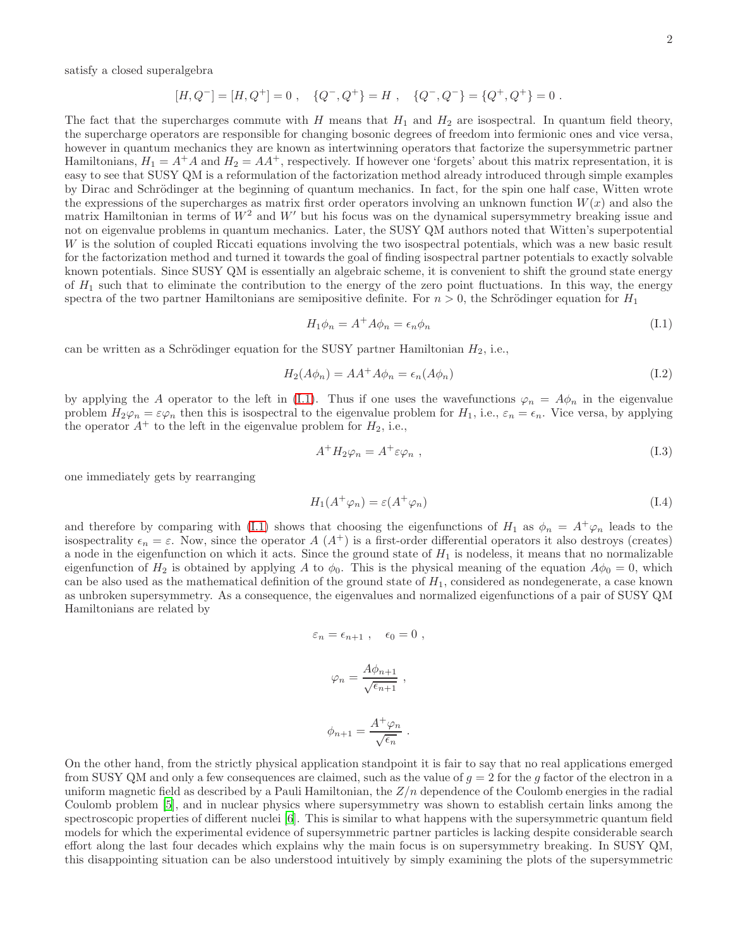satisfy a closed superalgebra

$$
[H, Q^-] = [H, Q^+] = 0 , \quad {Q^-}, Q^+ = H , \quad {Q^-}, Q^- = {Q^+, Q^+} = 0 .
$$

The fact that the supercharges commute with H means that  $H_1$  and  $H_2$  are isospectral. In quantum field theory, the supercharge operators are responsible for changing bosonic degrees of freedom into fermionic ones and vice versa, however in quantum mechanics they are known as intertwinning operators that factorize the supersymmetric partner Hamiltonians,  $H_1 = A^+A$  and  $H_2 = AA^+$ , respectively. If however one 'forgets' about this matrix representation, it is easy to see that SUSY QM is a reformulation of the factorization method already introduced through simple examples by Dirac and Schrödinger at the beginning of quantum mechanics. In fact, for the spin one half case, Witten wrote the expressions of the supercharges as matrix first order operators involving an unknown function  $W(x)$  and also the matrix Hamiltonian in terms of  $W^2$  and  $W'$  but his focus was on the dynamical supersymmetry breaking issue and not on eigenvalue problems in quantum mechanics. Later, the SUSY QM authors noted that Witten's superpotential W is the solution of coupled Riccati equations involving the two isospectral potentials, which was a new basic result for the factorization method and turned it towards the goal of finding isospectral partner potentials to exactly solvable known potentials. Since SUSY QM is essentially an algebraic scheme, it is convenient to shift the ground state energy of  $H_1$  such that to eliminate the contribution to the energy of the zero point fluctuations. In this way, the energy spectra of the two partner Hamiltonians are semipositive definite. For  $n > 0$ , the Schrödinger equation for  $H_1$ 

<span id="page-1-0"></span>
$$
H_1 \phi_n = A^+ A \phi_n = \epsilon_n \phi_n \tag{I.1}
$$

can be written as a Schrödinger equation for the SUSY partner Hamiltonian  $H_2$ , i.e.,

$$
H_2(A\phi_n) = AA^+A\phi_n = \epsilon_n(A\phi_n)
$$
\n(1.2)

by applying the A operator to the left in [\(I.1\)](#page-1-0). Thus if one uses the wavefunctions  $\varphi_n = A\phi_n$  in the eigenvalue problem  $H_2\varphi_n = \varepsilon\varphi_n$  then this is isospectral to the eigenvalue problem for  $H_1$ , i.e.,  $\varepsilon_n = \varepsilon_n$ . Vice versa, by applying the operator  $A^+$  to the left in the eigenvalue problem for  $H_2$ , i.e.,

$$
A^+ H_2 \varphi_n = A^+ \varepsilon \varphi_n , \qquad (I.3)
$$

one immediately gets by rearranging

$$
H_1(A^+\varphi_n) = \varepsilon(A^+\varphi_n) \tag{I.4}
$$

and therefore by comparing with [\(I.1\)](#page-1-0) shows that choosing the eigenfunctions of  $H_1$  as  $\phi_n = A^+\varphi_n$  leads to the isospectrality  $\epsilon_n = \varepsilon$ . Now, since the operator A  $(A^+)$  is a first-order differential operators it also destroys (creates) a node in the eigenfunction on which it acts. Since the ground state of  $H_1$  is nodeless, it means that no normalizable eigenfunction of  $H_2$  is obtained by applying A to  $\phi_0$ . This is the physical meaning of the equation  $A\phi_0 = 0$ , which can be also used as the mathematical definition of the ground state of  $H_1$ , considered as nondegenerate, a case known as unbroken supersymmetry. As a consequence, the eigenvalues and normalized eigenfunctions of a pair of SUSY QM Hamiltonians are related by

$$
\varepsilon_n = \epsilon_{n+1} , \quad \epsilon_0 = 0 ,
$$

$$
\varphi_n = \frac{A\phi_{n+1}}{\sqrt{\epsilon_{n+1}}} ,
$$

$$
\phi_{n+1} = \frac{A^+ \varphi_n}{\sqrt{\epsilon_n}} \; .
$$

On the other hand, from the strictly physical application standpoint it is fair to say that no real applications emerged from SUSY QM and only a few consequences are claimed, such as the value of  $q = 2$  for the g factor of the electron in a uniform magnetic field as described by a Pauli Hamiltonian, the  $Z/n$  dependence of the Coulomb energies in the radial Coulomb problem [\[5\]](#page-9-3), and in nuclear physics where supersymmetry was shown to establish certain links among the spectroscopic properties of different nuclei [\[6](#page-9-4)]. This is similar to what happens with the supersymmetric quantum field models for which the experimental evidence of supersymmetric partner particles is lacking despite considerable search effort along the last four decades which explains why the main focus is on supersymmetry breaking. In SUSY QM, this disappointing situation can be also understood intuitively by simply examining the plots of the supersymmetric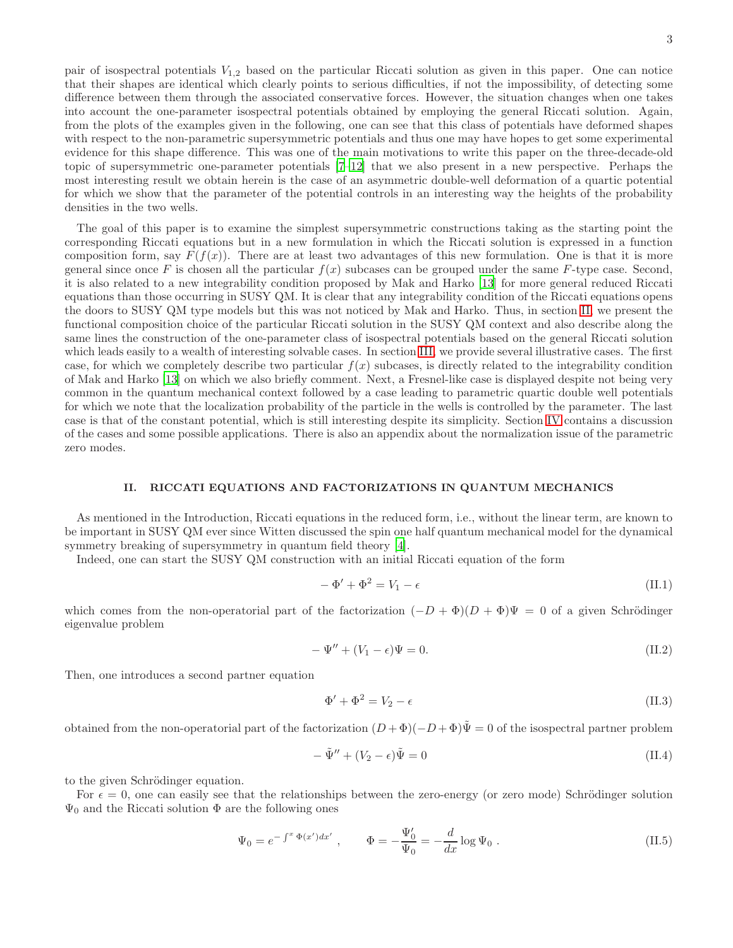pair of isospectral potentials  $V_{1,2}$  based on the particular Riccati solution as given in this paper. One can notice that their shapes are identical which clearly points to serious difficulties, if not the impossibility, of detecting some difference between them through the associated conservative forces. However, the situation changes when one takes into account the one-parameter isospectral potentials obtained by employing the general Riccati solution. Again, from the plots of the examples given in the following, one can see that this class of potentials have deformed shapes with respect to the non-parametric supersymmetric potentials and thus one may have hopes to get some experimental evidence for this shape difference. This was one of the main motivations to write this paper on the three-decade-old topic of supersymmetric one-parameter potentials [\[7](#page-9-5)[–12\]](#page-9-6) that we also present in a new perspective. Perhaps the most interesting result we obtain herein is the case of an asymmetric double-well deformation of a quartic potential for which we show that the parameter of the potential controls in an interesting way the heights of the probability densities in the two wells.

The goal of this paper is to examine the simplest supersymmetric constructions taking as the starting point the corresponding Riccati equations but in a new formulation in which the Riccati solution is expressed in a function composition form, say  $F(f(x))$ . There are at least two advantages of this new formulation. One is that it is more general since once F is chosen all the particular  $f(x)$  subcases can be grouped under the same F-type case. Second, it is also related to a new integrability condition proposed by Mak and Harko [\[13\]](#page-9-7) for more general reduced Riccati equations than those occurring in SUSY QM. It is clear that any integrability condition of the Riccati equations opens the doors to SUSY QM type models but this was not noticed by Mak and Harko. Thus, in section [II,](#page-2-0) we present the functional composition choice of the particular Riccati solution in the SUSY QM context and also describe along the same lines the construction of the one-parameter class of isospectral potentials based on the general Riccati solution which leads easily to a wealth of interesting solvable cases. In section [III,](#page-4-0) we provide several illustrative cases. The first case, for which we completely describe two particular  $f(x)$  subcases, is directly related to the integrability condition of Mak and Harko [\[13](#page-9-7)] on which we also briefly comment. Next, a Fresnel-like case is displayed despite not being very common in the quantum mechanical context followed by a case leading to parametric quartic double well potentials for which we note that the localization probability of the particle in the wells is controlled by the parameter. The last case is that of the constant potential, which is still interesting despite its simplicity. Section [IV](#page-7-0) contains a discussion of the cases and some possible applications. There is also an appendix about the normalization issue of the parametric zero modes.

# <span id="page-2-0"></span>II. RICCATI EQUATIONS AND FACTORIZATIONS IN QUANTUM MECHANICS

As mentioned in the Introduction, Riccati equations in the reduced form, i.e., without the linear term, are known to be important in SUSY QM ever since Witten discussed the spin one half quantum mechanical model for the dynamical symmetry breaking of supersymmetry in quantum field theory [\[4](#page-9-2)].

Indeed, one can start the SUSY QM construction with an initial Riccati equation of the form

<span id="page-2-3"></span>
$$
-\Phi' + \Phi^2 = V_1 - \epsilon \tag{II.1}
$$

which comes from the non-operatorial part of the factorization  $(-D + \Phi)(D + \Phi)\Psi = 0$  of a given Schrödinger eigenvalue problem

$$
-\Psi'' + (V_1 - \epsilon)\Psi = 0. \tag{II.2}
$$

Then, one introduces a second partner equation

<span id="page-2-2"></span>
$$
\Phi' + \Phi^2 = V_2 - \epsilon \tag{II.3}
$$

obtained from the non-operatorial part of the factorization  $(D + \Phi)(-D + \Phi)\Psi = 0$  of the isospectral partner problem

$$
-\tilde{\Psi}'' + (V_2 - \epsilon)\tilde{\Psi} = 0 \tag{II.4}
$$

to the given Schrödinger equation.

For  $\epsilon = 0$ , one can easily see that the relationships between the zero-energy (or zero mode) Schrödinger solution  $\Psi_0$  and the Riccati solution  $\Phi$  are the following ones

<span id="page-2-1"></span>
$$
\Psi_0 = e^{-\int^x \Phi(x')dx'} , \qquad \Phi = -\frac{\Psi'_0}{\Psi_0} = -\frac{d}{dx}\log\Psi_0 . \qquad (II.5)
$$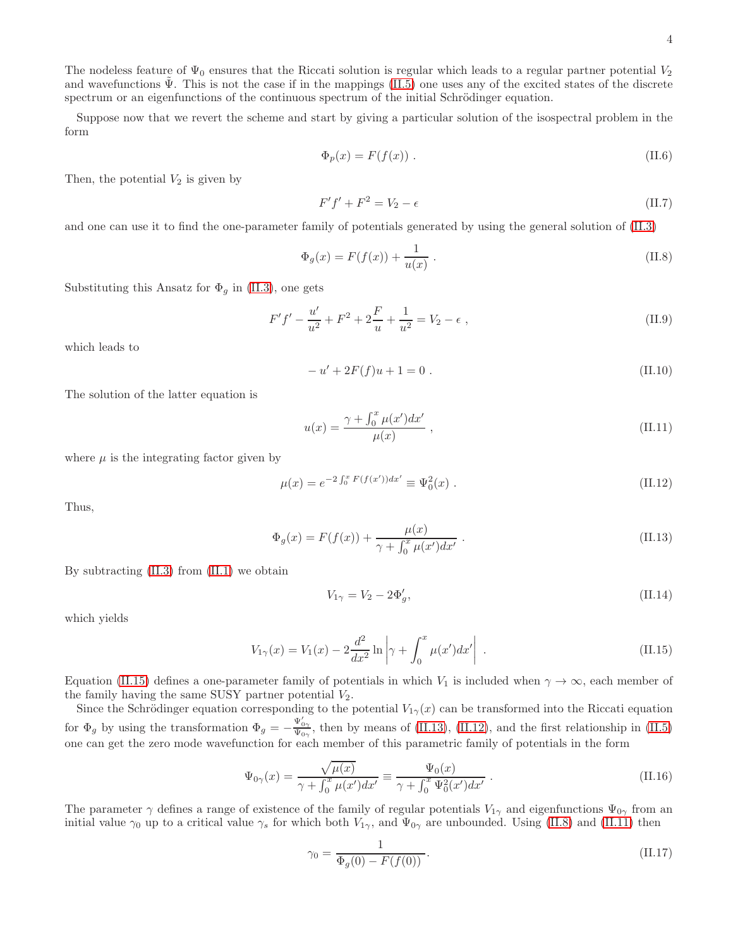The nodeless feature of  $\Psi_0$  ensures that the Riccati solution is regular which leads to a regular partner potential  $V_2$ and wavefunctions  $\Psi$ . This is not the case if in the mappings [\(II.5\)](#page-2-1) one uses any of the excited states of the discrete spectrum or an eigenfunctions of the continuous spectrum of the initial Schrödinger equation.

Suppose now that we revert the scheme and start by giving a particular solution of the isospectral problem in the form

$$
\Phi_p(x) = F(f(x)) \tag{II.6}
$$

Then, the potential  $V_2$  is given by

$$
F'f' + F^2 = V_2 - \epsilon \tag{II.7}
$$

and one can use it to find the one-parameter family of potentials generated by using the general solution of [\(II.3\)](#page-2-2)

<span id="page-3-3"></span>
$$
\Phi_g(x) = F(f(x)) + \frac{1}{u(x)}.
$$
\n(II.8)

Substituting this Ansatz for  $\Phi_g$  in [\(II.3\)](#page-2-2), one gets

$$
F'f' - \frac{u'}{u^2} + F^2 + 2\frac{F}{u} + \frac{1}{u^2} = V_2 - \epsilon ,
$$
\n(II.9)

which leads to

$$
-u' + 2F(f)u + 1 = 0.
$$
\n(II.10)

The solution of the latter equation is

<span id="page-3-4"></span>
$$
u(x) = \frac{\gamma + \int_0^x \mu(x')dx'}{\mu(x)} , \qquad (II.11)
$$

where  $\mu$  is the integrating factor given by

<span id="page-3-2"></span>
$$
\mu(x) = e^{-2 \int_0^x F(f(x')) dx'} \equiv \Psi_0^2(x) . \tag{II.12}
$$

Thus,

<span id="page-3-1"></span>
$$
\Phi_g(x) = F(f(x)) + \frac{\mu(x)}{\gamma + \int_0^x \mu(x')dx'}.
$$
\n(II.13)

By subtracting  $(II.3)$  from  $(II.1)$  we obtain

$$
V_{1\gamma} = V_2 - 2\Phi_g',\tag{II.14}
$$

which yields

<span id="page-3-0"></span>
$$
V_{1\gamma}(x) = V_1(x) - 2\frac{d^2}{dx^2} \ln \left| \gamma + \int_0^x \mu(x') dx' \right| \,. \tag{II.15}
$$

Equation [\(II.15\)](#page-3-0) defines a one-parameter family of potentials in which  $V_1$  is included when  $\gamma \to \infty$ , each member of the family having the same SUSY partner potential  $V_2$ .

Since the Schrödinger equation corresponding to the potential  $V_{1\gamma}(x)$  can be transformed into the Riccati equation for  $\Phi_g$  by using the transformation  $\Phi_g = -\frac{\Psi_{0\gamma}'}{\Psi_{0\gamma}}$ , then by means of [\(II.13\)](#page-3-1), [\(II.12\)](#page-3-2), and the first relationship in [\(II.5\)](#page-2-1) one can get the zero mode wavefunction for each member of this parametric family of potentials in the form

$$
\Psi_{0\gamma}(x) = \frac{\sqrt{\mu(x)}}{\gamma + \int_0^x \mu(x')dx'} \equiv \frac{\Psi_0(x)}{\gamma + \int_0^x \Psi_0^2(x')dx'}.
$$
\n(II.16)

The parameter  $\gamma$  defines a range of existence of the family of regular potentials  $V_{1\gamma}$  and eigenfunctions  $\Psi_{0\gamma}$  from an initial value  $\gamma_0$  up to a critical value  $\gamma_s$  for which both  $V_{1\gamma}$ , and  $\Psi_{0\gamma}$  are unbounded. Using [\(II.8\)](#page-3-3) and [\(II.11\)](#page-3-4) then

$$
\gamma_0 = \frac{1}{\Phi_g(0) - F(f(0))}.
$$
\n(II.17)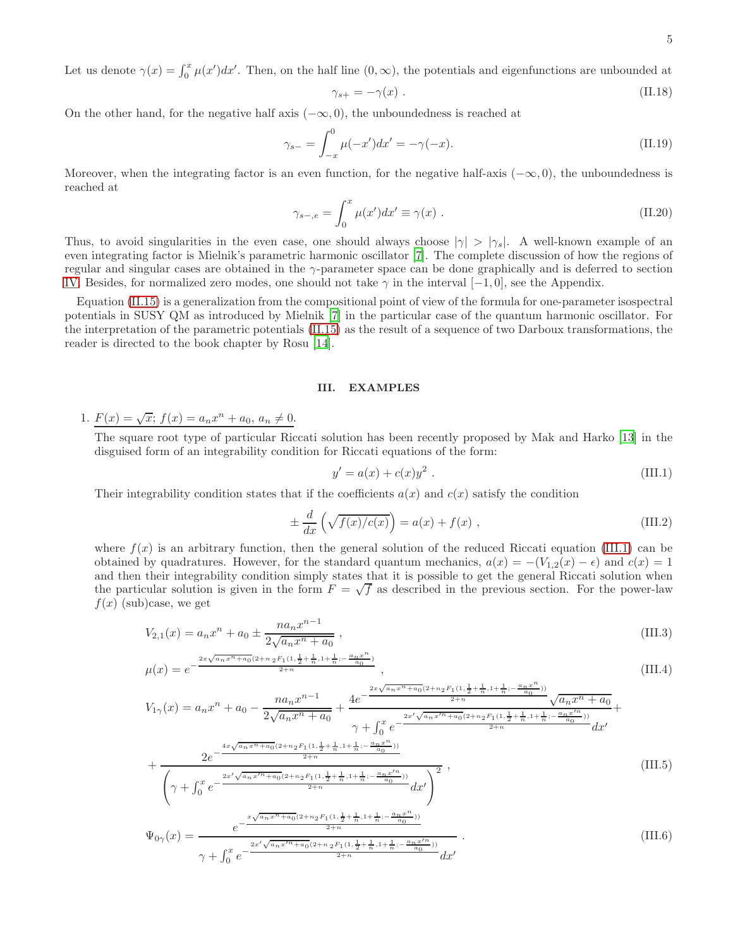Let us denote  $\gamma(x) = \int_0^x \mu(x')dx'$ . Then, on the half line  $(0, \infty)$ , the potentials and eigenfunctions are unbounded at

<span id="page-4-2"></span>
$$
\gamma_{s+} = -\gamma(x) \tag{II.18}
$$

On the other hand, for the negative half axis  $(-\infty, 0)$ , the unboundedness is reached at

$$
\gamma_{s-} = \int_{-x}^{0} \mu(-x')dx' = -\gamma(-x). \tag{II.19}
$$

Moreover, when the integrating factor is an even function, for the negative half-axis  $(-\infty, 0)$ , the unboundedness is reached at

$$
\gamma_{s-,e} = \int_0^x \mu(x')dx' \equiv \gamma(x) . \tag{II.20}
$$

Thus, to avoid singularities in the even case, one should always choose  $|\gamma| > |\gamma_s|$ . A well-known example of an even integrating factor is Mielnik's parametric harmonic oscillator [\[7\]](#page-9-5). The complete discussion of how the regions of regular and singular cases are obtained in the γ-parameter space can be done graphically and is deferred to section [IV.](#page-7-0) Besides, for normalized zero modes, one should not take  $\gamma$  in the interval [−1, 0], see the Appendix.

Equation [\(II.15\)](#page-3-0) is a generalization from the compositional point of view of the formula for one-parameter isospectral potentials in SUSY QM as introduced by Mielnik [\[7](#page-9-5)] in the particular case of the quantum harmonic oscillator. For the interpretation of the parametric potentials [\(II.15\)](#page-3-0) as the result of a sequence of two Darboux transformations, the reader is directed to the book chapter by Rosu [\[14](#page-9-8)].

#### <span id="page-4-0"></span>III. EXAMPLES

1.  $F(x) = \sqrt{x}$ ;  $f(x) = a_n x^n + a_0, a_n \neq 0$ .

The square root type of particular Riccati solution has been recently proposed by Mak and Harko [\[13\]](#page-9-7) in the disguised form of an integrability condition for Riccati equations of the form:

<span id="page-4-1"></span>
$$
y' = a(x) + c(x)y^{2} . \t(III.1)
$$

Their integrability condition states that if the coefficients  $a(x)$  and  $c(x)$  satisfy the condition

$$
\pm \frac{d}{dx} \left( \sqrt{f(x)/c(x)} \right) = a(x) + f(x) , \qquad (III.2)
$$

where  $f(x)$  is an arbitrary function, then the general solution of the reduced Riccati equation [\(III.1\)](#page-4-1) can be obtained by quadratures. However, for the standard quantum mechanics,  $a(x) = -(V_{1,2}(x) - \epsilon)$  and  $c(x) = 1$ and then their integrability condition simply states that it is possible to get the general Riccati solution when the particular solution is given in the form  $F = \sqrt{f}$  as described in the previous section. For the power-law  $f(x)$  (sub)case, we get

$$
V_{2,1}(x) = a_n x^n + a_0 \pm \frac{na_n x^{n-1}}{2\sqrt{a_n x^n + a_0}} ,
$$
\n(III.3)

$$
\mu(x) = e^{-\frac{2x\sqrt{a_n x^n + a_0}(2 + n_2 F_1(1, \frac{1}{2} + \frac{1}{n}, 1 + \frac{1}{n}; -\frac{a_n x^n}{a_0})}{2 + n}},
$$
\n(III.4)

$$
V_{1\gamma}(x) = a_n x^n + a_0 - \frac{na_n x^{n-1}}{2\sqrt{a_n x^n + a_0}} + \frac{4e^{-\frac{2x\sqrt{a_n x^n + a_0}(2 + n_2 F_1(1, \frac{1}{2} + \frac{1}{n}, 1 + \frac{1}{n}; -\frac{a_n x^n}{a_0}))}{2 + n}\sqrt{a_n x^n + a_0}}{\gamma + \int_0^x e^{-\frac{2x'\sqrt{a_n x'^n + a_0}(2 + n_2 F_1(1, \frac{1}{2} + \frac{1}{n}, 1 + \frac{1}{n}; -\frac{a_n x^n}{a_0}))}{2 + n}} dx'}
$$

$$
+\frac{2e^{-\frac{4x\sqrt{a_n x^n+a_0}(2+n_2 F_1(1,\frac{1}{2}+\frac{1}{n},1+\frac{1}{n};-\frac{a_n x^n}{a_0}))}}{2+n}}{\left(\gamma+\int_0^x e^{-\frac{2x'\sqrt{a_n x'^n+a_0}(2+n_2 F_1(1,\frac{1}{2}+\frac{1}{n},1+\frac{1}{n};-\frac{a_n x'^n}{a_0}))}{2+n}}dx'\right)^2},\tag{III.5}
$$

$$
\Psi_{0\gamma}(x) = \frac{e^{-\frac{2x'\sqrt{a_n x'^n + a_0}(2 + n_2 F_1(1, \frac{1}{2} + \frac{1}{n}, 1 + \frac{1}{n}; -\frac{a_n x'^n}{a_0}))}}{\gamma + \int_0^x e^{-\frac{2x'\sqrt{a_n x'^n + a_0}(2 + n_2 F_1(1, \frac{1}{2} + \frac{1}{n}, 1 + \frac{1}{n}; -\frac{a_n x'^n}{a_0}))}{dx'}} dx'}
$$
\n(III.6)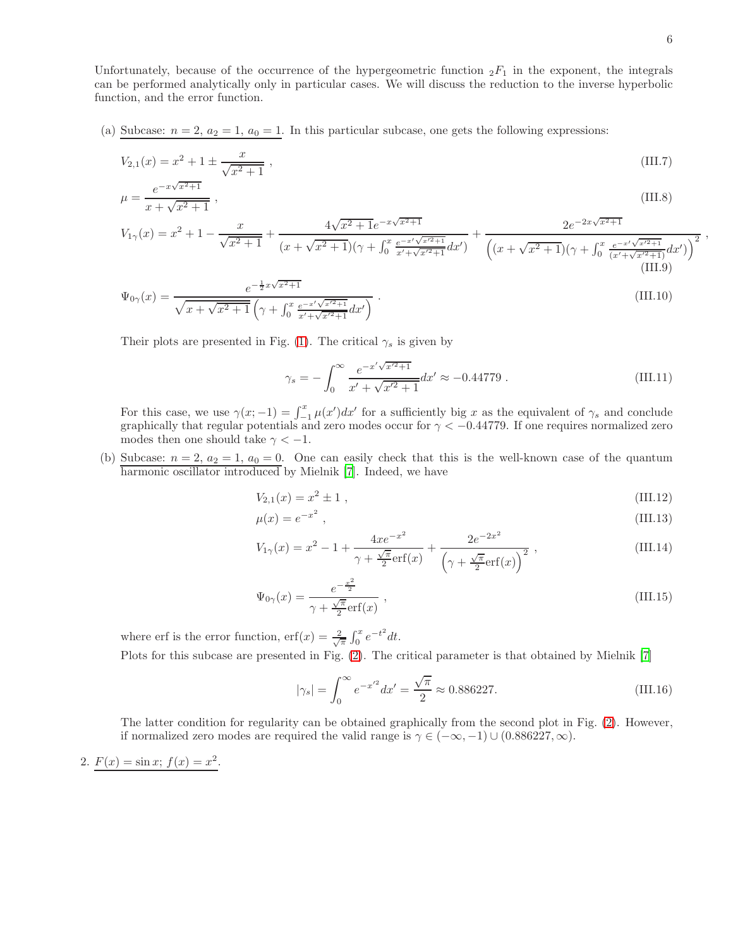Unfortunately, because of the occurrence of the hypergeometric function  $_2F_1$  in the exponent, the integrals can be performed analytically only in particular cases. We will discuss the reduction to the inverse hyperbolic function, and the error function.

(a) Subcase:  $n = 2$ ,  $a_2 = 1$ ,  $a_0 = 1$ . In this particular subcase, one gets the following expressions:

$$
V_{2,1}(x) = x^2 + 1 \pm \frac{x}{\sqrt{x^2 + 1}},
$$
\n(III.7)\n
$$
e^{-x\sqrt{x^2 + 1}}
$$

$$
\mu = \frac{e^{-x\sqrt{x^2 + 1}}}{x + \sqrt{x^2 + 1}} \,,\tag{III.8}
$$

$$
V_{1\gamma}(x) = x^2 + 1 - \frac{x}{\sqrt{x^2 + 1}} + \frac{4\sqrt{x^2 + 1}e^{-x\sqrt{x^2 + 1}}}{(x + \sqrt{x^2 + 1})(\gamma + \int_0^x \frac{e^{-x\sqrt{x^2 + 1}}}{x' + \sqrt{x^2 + 1}}dx')} + \frac{2e^{-2x\sqrt{x^2 + 1}}}{\left((x + \sqrt{x^2 + 1})(\gamma + \int_0^x \frac{e^{-x\sqrt{x^2 + 1}}}{(x' + \sqrt{x^2 + 1})}dx'\right)^2}
$$
(III.9)

$$
\Psi_{0\gamma}(x) = \frac{e^{-\frac{1}{2}x\sqrt{x^2+1}}}{\sqrt{x+\sqrt{x^2+1}}\left(\gamma + \int_0^x \frac{e^{-x'\sqrt{x^2+1}}}{x'+\sqrt{x^2+1}}dx'\right)}.
$$
\n(III.10)

Their plots are presented in Fig. [\(1\)](#page-10-0). The critical  $\gamma_s$  is given by

$$
\gamma_s = -\int_0^\infty \frac{e^{-x'\sqrt{x'^2+1}}}{x' + \sqrt{x'^2+1}} dx' \approx -0.44779 \ . \tag{III.11}
$$

For this case, we use  $\gamma(x; -1) = \int_{-1}^{x} \mu(x') dx'$  for a sufficiently big x as the equivalent of  $\gamma_s$  and conclude expansional concludes graphically that regular potentials and zero modes occur for  $\gamma < -0.44779$ . If one requires normalized zero modes then one should take  $\gamma < -1$ .

(b) Subcase:  $n = 2$ ,  $a_2 = 1$ ,  $a_0 = 0$ . One can easily check that this is the well-known case of the quantum harmonic oscillator introduced by Mielnik [\[7\]](#page-9-5). Indeed, we have

$$
V_{2,1}(x) = x^2 \pm 1 \tag{III.12}
$$

$$
\mu(x) = e^{-x^2},\tag{III.13}
$$

$$
V_{1\gamma}(x) = x^2 - 1 + \frac{4xe^{-x^2}}{\gamma + \frac{\sqrt{\pi}}{2}\text{erf}(x)} + \frac{2e^{-2x^2}}{(\gamma + \frac{\sqrt{\pi}}{2}\text{erf}(x))^{2}},
$$
\n(III.14)

$$
\Psi_{0\gamma}(x) = \frac{e^{-\frac{x^2}{2}}}{\gamma + \frac{\sqrt{\pi}}{2}\text{erf}(x)},
$$
\n(III.15)

where erf is the error function,  $\mathrm{erf}(x) = \frac{2}{\sqrt{\pi}} \int_0^x e^{-t^2} dt$ . Plots for this subcase are presented in Fig. [\(2\)](#page-11-0). The critical parameter is that obtained by Mielnik [\[7](#page-9-5)]

<span id="page-5-0"></span>
$$
|\gamma_s| = \int_0^\infty e^{-x'^2} dx' = \frac{\sqrt{\pi}}{2} \approx 0.886227. \tag{III.16}
$$

The latter condition for regularity can be obtained graphically from the second plot in Fig. [\(2\)](#page-11-0). However, if normalized zero modes are required the valid range is  $\gamma \in (-\infty, -1) \cup (0.886227, \infty)$ .

2. 
$$
F(x) = \sin x
$$
;  $f(x) = x^2$ .

,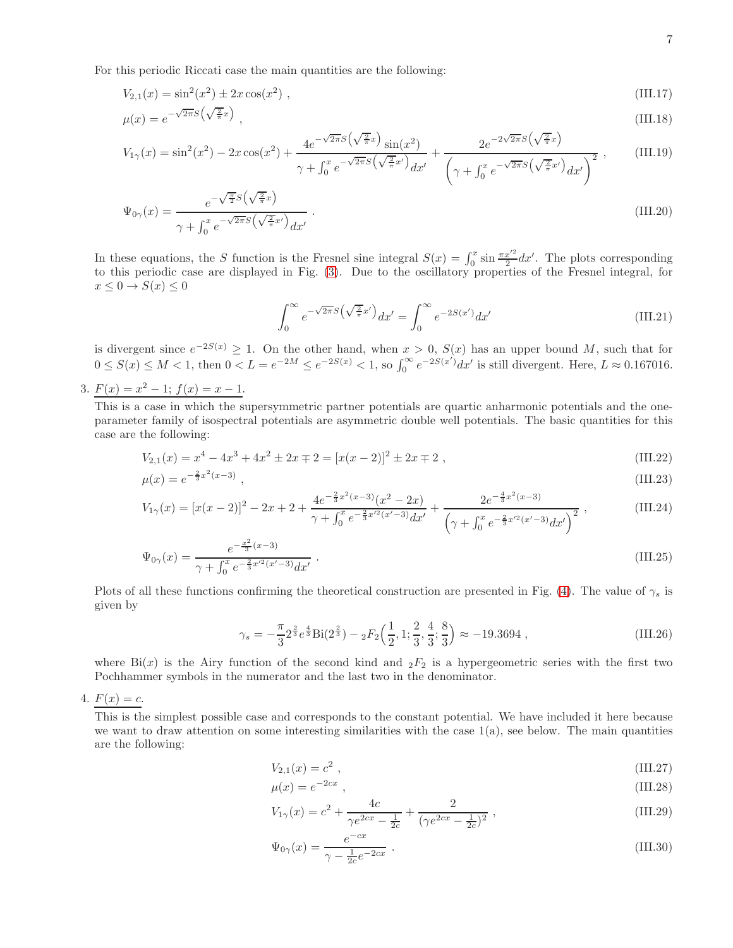For this periodic Riccati case the main quantities are the following:

$$
V_{2,1}(x) = \sin^2(x^2) \pm 2x \cos(x^2) \tag{III.17}
$$

$$
\mu(x) = e^{-\sqrt{2\pi}S\left(\sqrt{\frac{2}{\pi}}x\right)}\,,\tag{III.18}
$$

$$
V_{1\gamma}(x) = \sin^2(x^2) - 2x\cos(x^2) + \frac{4e^{-\sqrt{2\pi}S\left(\sqrt{\frac{2}{\pi}}x\right)}\sin(x^2)}{\gamma + \int_0^x e^{-\sqrt{2\pi}S\left(\sqrt{\frac{2}{\pi}}x'\right)}dx'} + \frac{2e^{-2\sqrt{2\pi}S\left(\sqrt{\frac{2}{\pi}}x\right)}}{\left(\gamma + \int_0^x e^{-\sqrt{2\pi}S\left(\sqrt{\frac{2}{\pi}}x'\right)}dx'\right)^2},
$$
(III.19)

$$
\Psi_{0\gamma}(x) = \frac{e^{-\sqrt{\frac{\pi}{2}}S\left(\sqrt{\frac{2}{\pi}}x\right)}}{\gamma + \int_0^x e^{-\sqrt{2\pi}S\left(\sqrt{\frac{2}{\pi}}x'\right)}dx'}.
$$
\n(III.20)

In these equations, the S function is the Fresnel sine integral  $S(x) = \int_0^x \sin \frac{\pi x'^2}{2} dx'$ . The plots corresponding to this periodic case are displayed in Fig. [\(3\)](#page-12-0). Due to the oscillatory properties of the Fresnel integral, for  $x \leq 0 \rightarrow S(x) \leq 0$ 

$$
\int_0^\infty e^{-\sqrt{2\pi}S\left(\sqrt{\frac{2}{\pi}}x'\right)}dx' = \int_0^\infty e^{-2S(x')}\,dx' \tag{III.21}
$$

is divergent since  $e^{-2S(x)} \geq 1$ . On the other hand, when  $x > 0$ ,  $S(x)$  has an upper bound M, such that for  $0 \leq S(x) \leq M < 1$ , then  $0 \lt L = e^{-2M} \leq e^{-2S(x)} < 1$ , so  $\int_0^\infty e^{-2S(x')} dx'$  is still divergent. Here,  $L \approx 0.167016$ .

3.  $F(x) = x^2 - 1$ ;  $f(x) = x - 1$ .

This is a case in which the supersymmetric partner potentials are quartic anharmonic potentials and the oneparameter family of isospectral potentials are asymmetric double well potentials. The basic quantities for this case are the following:

$$
V_{2,1}(x) = x^4 - 4x^3 + 4x^2 \pm 2x \mp 2 = [x(x-2)]^2 \pm 2x \mp 2,
$$
\n(III.22)

$$
\mu(x) = e^{-\frac{2}{3}x^2(x-3)} \,,\tag{III.23}
$$

$$
V_{1\gamma}(x) = [x(x-2)]^2 - 2x + 2 + \frac{4e^{-\frac{2}{3}x^2(x-3)}(x^2 - 2x)}{\gamma + \int_0^x e^{-\frac{2}{3}x^2(x-3)}dx'} + \frac{2e^{-\frac{4}{3}x^2(x-3)}}{\left(\gamma + \int_0^x e^{-\frac{2}{3}x^2(x'-3)}dx'\right)^2},
$$
(III.24)

$$
\Psi_{0\gamma}(x) = \frac{e^{-\frac{x^2}{3}(x-3)}}{\gamma + \int_0^x e^{-\frac{2}{3}x'^2(x'-3)} dx'}.
$$
\n(III.25)

Plots of all these functions confirming the theoretical construction are presented in Fig. [\(4\)](#page-13-0). The value of  $\gamma_s$  is given by

$$
\gamma_s = -\frac{\pi}{3} 2^{\frac{2}{3}} e^{\frac{4}{3}} \text{Bi}(2^{\frac{2}{3}}) - {}_2F_2\left(\frac{1}{2}, 1; \frac{2}{3}, \frac{4}{3}; \frac{8}{3}\right) \approx -19.3694 ,\qquad (III.26)
$$

where  $\text{Bi}(x)$  is the Airy function of the second kind and  $_2F_2$  is a hypergeometric series with the first two Pochhammer symbols in the numerator and the last two in the denominator.

4.  $F(x) = c$ .

This is the simplest possible case and corresponds to the constant potential. We have included it here because we want to draw attention on some interesting similarities with the case  $1(a)$ , see below. The main quantities are the following:

$$
V_{2,1}(x) = c^2 \t\t(III.27)
$$

$$
\mu(x) = e^{-2cx} \tag{III.28}
$$

$$
V_{1\gamma}(x) = c^2 + \frac{4c}{\gamma e^{2cx} - \frac{1}{2c}} + \frac{2}{(\gamma e^{2cx} - \frac{1}{2c})^2},
$$
\n(III.29)

$$
\Psi_{0\gamma}(x) = \frac{e^{-cx}}{\gamma - \frac{1}{2c}e^{-2cx}}.
$$
\n(III.30)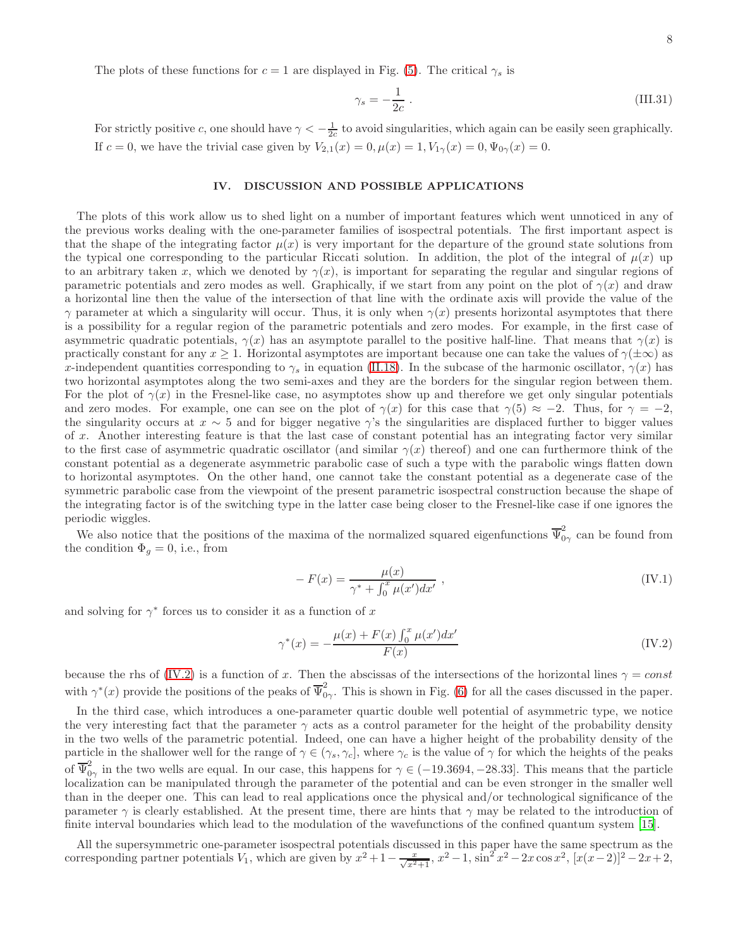The plots of these functions for  $c = 1$  are displayed in Fig. [\(5\)](#page-14-0). The critical  $\gamma_s$  is

$$
\gamma_s = -\frac{1}{2c} \ . \tag{III.31}
$$

For strictly positive c, one should have  $\gamma < -\frac{1}{2c}$  to avoid singularities, which again can be easily seen graphically. If  $c = 0$ , we have the trivial case given by  $V_{2,1}(x) = 0, \mu(x) = 1, V_{1\gamma}(x) = 0, \Psi_{0\gamma}(x) = 0.$ 

## <span id="page-7-0"></span>IV. DISCUSSION AND POSSIBLE APPLICATIONS

The plots of this work allow us to shed light on a number of important features which went unnoticed in any of the previous works dealing with the one-parameter families of isospectral potentials. The first important aspect is that the shape of the integrating factor  $\mu(x)$  is very important for the departure of the ground state solutions from the typical one corresponding to the particular Riccati solution. In addition, the plot of the integral of  $\mu(x)$  up to an arbitrary taken x, which we denoted by  $\gamma(x)$ , is important for separating the regular and singular regions of parametric potentials and zero modes as well. Graphically, if we start from any point on the plot of  $\gamma(x)$  and draw a horizontal line then the value of the intersection of that line with the ordinate axis will provide the value of the  $\gamma$  parameter at which a singularity will occur. Thus, it is only when  $\gamma(x)$  presents horizontal asymptotes that there is a possibility for a regular region of the parametric potentials and zero modes. For example, in the first case of asymmetric quadratic potentials,  $\gamma(x)$  has an asymptote parallel to the positive half-line. That means that  $\gamma(x)$  is practically constant for any  $x \ge 1$ . Horizontal asymptotes are important because one can take the values of  $\gamma(\pm\infty)$  as x-independent quantities corresponding to  $\gamma_s$  in equation [\(II.18\)](#page-4-2). In the subcase of the harmonic oscillator,  $\gamma(x)$  has two horizontal asymptotes along the two semi-axes and they are the borders for the singular region between them. For the plot of  $\gamma(x)$  in the Fresnel-like case, no asymptotes show up and therefore we get only singular potentials and zero modes. For example, one can see on the plot of  $\gamma(x)$  for this case that  $\gamma(5) \approx -2$ . Thus, for  $\gamma = -2$ , the singularity occurs at  $x \sim 5$  and for bigger negative  $\gamma$ 's the singularities are displaced further to bigger values of x. Another interesting feature is that the last case of constant potential has an integrating factor very similar to the first case of asymmetric quadratic oscillator (and similar  $\gamma(x)$  thereof) and one can furthermore think of the constant potential as a degenerate asymmetric parabolic case of such a type with the parabolic wings flatten down to horizontal asymptotes. On the other hand, one cannot take the constant potential as a degenerate case of the symmetric parabolic case from the viewpoint of the present parametric isospectral construction because the shape of the integrating factor is of the switching type in the latter case being closer to the Fresnel-like case if one ignores the periodic wiggles.

We also notice that the positions of the maxima of the normalized squared eigenfunctions  $\overline{\Psi}^2_0$  $\tilde{O}_{\gamma}$  can be found from the condition  $\Phi_g = 0$ , i.e., from

$$
- F(x) = \frac{\mu(x)}{\gamma^* + \int_0^x \mu(x') dx'} , \qquad (IV.1)
$$

and solving for  $\gamma^*$  forces us to consider it as a function of x

<span id="page-7-1"></span>
$$
\gamma^*(x) = -\frac{\mu(x) + F(x) \int_0^x \mu(x') dx'}{F(x)}
$$
(IV.2)

because the rhs of [\(IV.2\)](#page-7-1) is a function of x. Then the abscissas of the intersections of the horizontal lines  $\gamma = const$ with  $\gamma^*(x)$  provide the positions of the peaks of  $\overline{\Psi}_0^2$  $\tilde{O}_{\gamma}$ . This is shown in Fig. [\(6\)](#page-15-0) for all the cases discussed in the paper.

In the third case, which introduces a one-parameter quartic double well potential of asymmetric type, we notice the very interesting fact that the parameter  $\gamma$  acts as a control parameter for the height of the probability density in the two wells of the parametric potential. Indeed, one can have a higher height of the probability density of the particle in the shallower well for the range of  $\gamma \in (\gamma_s, \gamma_c]$ , where  $\gamma_c$  is the value of  $\gamma$  for which the heights of the peaks of  $\overline{\Psi}^2_0$  $\frac{1}{0\gamma}$  in the two wells are equal. In our case, this happens for  $\gamma \in (-19.3694, -28.33]$ . This means that the particle localization can be manipulated through the parameter of the potential and can be even stronger in the smaller well than in the deeper one. This can lead to real applications once the physical and/or technological significance of the parameter  $\gamma$  is clearly established. At the present time, there are hints that  $\gamma$  may be related to the introduction of finite interval boundaries which lead to the modulation of the wavefunctions of the confined quantum system [\[15\]](#page-9-9).

All the supersymmetric one-parameter isospectral potentials discussed in this paper have the same spectrum as the corresponding partner potentials  $V_1$ , which are given by  $x^2 + 1 - \frac{x}{\sqrt{x^2+1}}$ ,  $x^2 - 1$ ,  $\sin^2 x^2 - 2x \cos x^2$ ,  $[x(x-2)]^2 - 2x + 2$ ,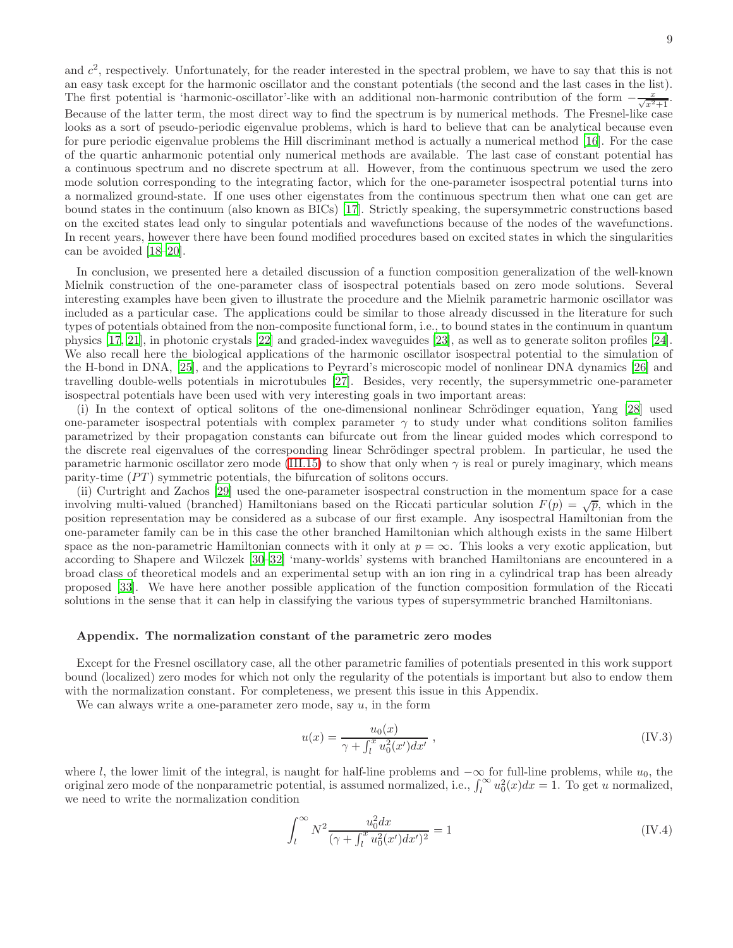and  $c^2$ , respectively. Unfortunately, for the reader interested in the spectral problem, we have to say that this is not an easy task except for the harmonic oscillator and the constant potentials (the second and the last cases in the list). The first potential is 'harmonic-oscillator'-like with an additional non-harmonic contribution of the form  $-\frac{x}{\sqrt{x^2+1}}$ . Because of the latter term, the most direct way to find the spectrum is by numerical methods. The Fresnel-like case looks as a sort of pseudo-periodic eigenvalue problems, which is hard to believe that can be analytical because even for pure periodic eigenvalue problems the Hill discriminant method is actually a numerical method [\[16\]](#page-9-10). For the case of the quartic anharmonic potential only numerical methods are available. The last case of constant potential has a continuous spectrum and no discrete spectrum at all. However, from the continuous spectrum we used the zero mode solution corresponding to the integrating factor, which for the one-parameter isospectral potential turns into a normalized ground-state. If one uses other eigenstates from the continuous spectrum then what one can get are bound states in the continuum (also known as BICs) [\[17\]](#page-9-11). Strictly speaking, the supersymmetric constructions based on the excited states lead only to singular potentials and wavefunctions because of the nodes of the wavefunctions. In recent years, however there have been found modified procedures based on excited states in which the singularities can be avoided [\[18](#page-9-12)[–20\]](#page-9-13).

In conclusion, we presented here a detailed discussion of a function composition generalization of the well-known Mielnik construction of the one-parameter class of isospectral potentials based on zero mode solutions. Several interesting examples have been given to illustrate the procedure and the Mielnik parametric harmonic oscillator was included as a particular case. The applications could be similar to those already discussed in the literature for such types of potentials obtained from the non-composite functional form, i.e., to bound states in the continuum in quantum physics [\[17,](#page-9-11) [21\]](#page-9-14), in photonic crystals [\[22\]](#page-9-15) and graded-index waveguides [\[23](#page-9-16)], as well as to generate soliton profiles [\[24\]](#page-9-17). We also recall here the biological applications of the harmonic oscillator isospectral potential to the simulation of the H-bond in DNA, [\[25\]](#page-9-18), and the applications to Peyrard's microscopic model of nonlinear DNA dynamics [\[26\]](#page-9-19) and travelling double-wells potentials in microtubules [\[27](#page-9-20)]. Besides, very recently, the supersymmetric one-parameter isospectral potentials have been used with very interesting goals in two important areas:

(i) In the context of optical solitons of the one-dimensional nonlinear Schrödinger equation, Yang [\[28\]](#page-9-21) used one-parameter isospectral potentials with complex parameter  $\gamma$  to study under what conditions soliton families parametrized by their propagation constants can bifurcate out from the linear guided modes which correspond to the discrete real eigenvalues of the corresponding linear Schrödinger spectral problem. In particular, he used the parametric harmonic oscillator zero mode [\(III.15\)](#page-5-0) to show that only when  $\gamma$  is real or purely imaginary, which means parity-time  $(PT)$  symmetric potentials, the bifurcation of solitons occurs.

(ii) Curtright and Zachos [\[29\]](#page-9-22) used the one-parameter isospectral construction in the momentum space for a case involving multi-valued (branched) Hamiltonians based on the Riccati particular solution  $F(p) = \sqrt{p}$ , which in the position representation may be considered as a subcase of our first example. Any isospectral Hamiltonian from the one-parameter family can be in this case the other branched Hamiltonian which although exists in the same Hilbert space as the non-parametric Hamiltonian connects with it only at  $p = \infty$ . This looks a very exotic application, but according to Shapere and Wilczek [\[30](#page-9-23)[–32\]](#page-9-24) 'many-worlds' systems with branched Hamiltonians are encountered in a broad class of theoretical models and an experimental setup with an ion ring in a cylindrical trap has been already proposed [\[33](#page-9-25)]. We have here another possible application of the function composition formulation of the Riccati solutions in the sense that it can help in classifying the various types of supersymmetric branched Hamiltonians.

#### Appendix. The normalization constant of the parametric zero modes

Except for the Fresnel oscillatory case, all the other parametric families of potentials presented in this work support bound (localized) zero modes for which not only the regularity of the potentials is important but also to endow them with the normalization constant. For completeness, we present this issue in this Appendix.

We can always write a one-parameter zero mode, say  $u$ , in the form

$$
u(x) = \frac{u_0(x)}{\gamma + \int_l^x u_0^2(x')dx'} , \qquad (IV.3)
$$

where l, the lower limit of the integral, is naught for half-line problems and  $-\infty$  for full-line problems, while  $u_0$ , the original zero mode of the nonparametric potential, is assumed normalized, i.e.,  $\int_l^{\infty} u_0^2(x)dx = 1$ . To get u normalized, we need to write the normalization condition

<span id="page-8-0"></span>
$$
\int_{l}^{\infty} N^{2} \frac{u_0^2 dx}{(\gamma + \int_{l}^{x} u_0^2 (x') dx')^2} = 1
$$
 (IV.4)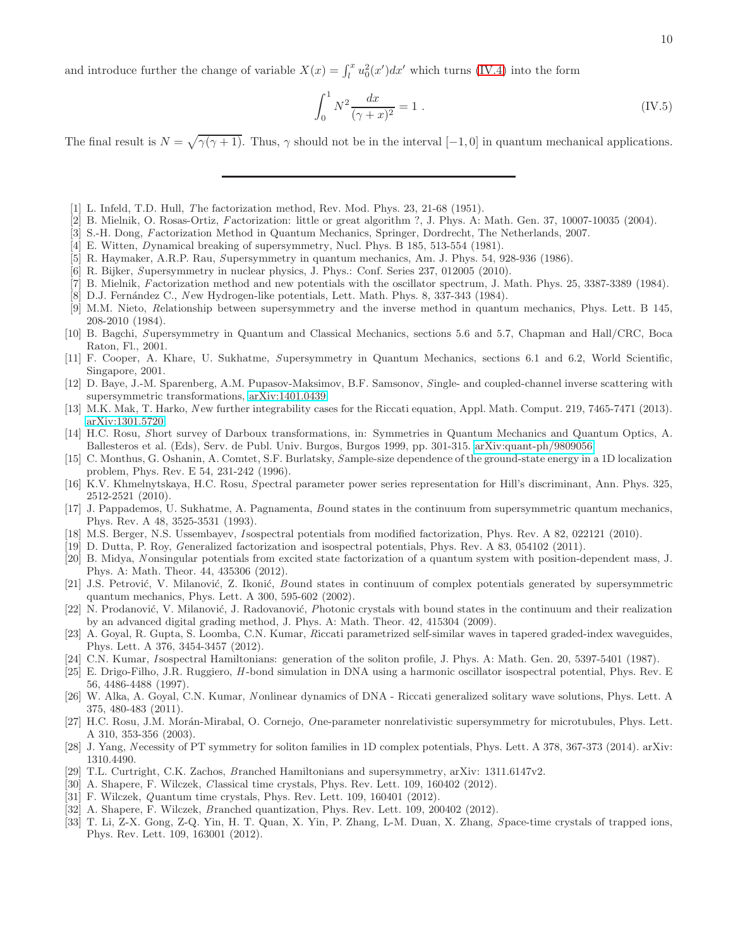and introduce further the change of variable  $X(x) = \int_l^x u_0^2(x')dx'$  which turns [\(IV.4\)](#page-8-0) into the form

$$
\int_0^1 N^2 \frac{dx}{(\gamma + x)^2} = 1 \tag{IV.5}
$$

The final result is  $N = \sqrt{\gamma(\gamma + 1)}$ . Thus,  $\gamma$  should not be in the interval [-1, 0] in quantum mechanical applications.

- <span id="page-9-0"></span>[1] L. Infeld, T.D. Hull, The factorization method, Rev. Mod. Phys. 23, 21-68 (1951).
- [2] B. Mielnik, O. Rosas-Ortiz, Factorization: little or great algorithm ?, J. Phys. A: Math. Gen. 37, 10007-10035 (2004).
- <span id="page-9-1"></span>[3] S.-H. Dong, Factorization Method in Quantum Mechanics, Springer, Dordrecht, The Netherlands, 2007.
- <span id="page-9-2"></span>[4] E. Witten, Dynamical breaking of supersymmetry, Nucl. Phys. B 185, 513-554 (1981).
- <span id="page-9-3"></span>[5] R. Haymaker, A.R.P. Rau, Supersymmetry in quantum mechanics, Am. J. Phys. 54, 928-936 (1986).
- <span id="page-9-4"></span>[6] R. Bijker, Supersymmetry in nuclear physics, J. Phys.: Conf. Series 237, 012005 (2010).
- <span id="page-9-5"></span>[7] B. Mielnik, Factorization method and new potentials with the oscillator spectrum, J. Math. Phys. 25, 3387-3389 (1984).
- [8] D.J. Fernández C., New Hydrogen-like potentials, Lett. Math. Phys. 8, 337-343 (1984).
- [9] M.M. Nieto, Relationship between supersymmetry and the inverse method in quantum mechanics, Phys. Lett. B 145, 208-2010 (1984).
- [10] B. Bagchi, Supersymmetry in Quantum and Classical Mechanics, sections 5.6 and 5.7, Chapman and Hall/CRC, Boca Raton, Fl., 2001.
- [11] F. Cooper, A. Khare, U. Sukhatme, Supersymmetry in Quantum Mechanics, sections 6.1 and 6.2, World Scientific, Singapore, 2001.
- <span id="page-9-6"></span>[12] D. Baye, J.-M. Sparenberg, A.M. Pupasov-Maksimov, B.F. Samsonov, Single- and coupled-channel inverse scattering with supersymmetric transformations, [arXiv:1401.0439.](http://arxiv.org/abs/1401.0439)
- <span id="page-9-7"></span>[13] M.K. Mak, T. Harko, New further integrability cases for the Riccati equation, Appl. Math. Comput. 219, 7465-7471 (2013). [arXiv:1301.5720.](http://arxiv.org/abs/1301.5720)
- <span id="page-9-8"></span>[14] H.C. Rosu, Short survey of Darboux transformations, in: Symmetries in Quantum Mechanics and Quantum Optics, A. Ballesteros et al. (Eds), Serv. de Publ. Univ. Burgos, Burgos 1999, pp. 301-315. [arXiv:quant-ph/9809056.](http://arxiv.org/abs/quant-ph/9809056)
- <span id="page-9-9"></span>[15] C. Monthus, G. Oshanin, A. Comtet, S.F. Burlatsky, Sample-size dependence of the ground-state energy in a 1D localization problem, Phys. Rev. E 54, 231-242 (1996).
- <span id="page-9-10"></span>[16] K.V. Khmelnytskaya, H.C. Rosu, Spectral parameter power series representation for Hill's discriminant, Ann. Phys. 325, 2512-2521 (2010).
- <span id="page-9-11"></span>[17] J. Pappademos, U. Sukhatme, A. Pagnamenta, Bound states in the continuum from supersymmetric quantum mechanics, Phys. Rev. A 48, 3525-3531 (1993).
- <span id="page-9-12"></span>[18] M.S. Berger, N.S. Ussembayev, Isospectral potentials from modified factorization, Phys. Rev. A 82, 022121 (2010).
- [19] D. Dutta, P. Roy, Generalized factorization and isospectral potentials, Phys. Rev. A 83, 054102 (2011).
- <span id="page-9-13"></span>[20] B. Midya, Nonsingular potentials from excited state factorization of a quantum system with position-dependent mass, J. Phys. A: Math. Theor. 44, 435306 (2012).
- <span id="page-9-14"></span>[21] J.S. Petrović, V. Milanović, Z. Ikonić, Bound states in continuum of complex potentials generated by supersymmetric quantum mechanics, Phys. Lett. A 300, 595-602 (2002).
- <span id="page-9-15"></span>[22] N. Prodanović, V. Milanović, J. Radovanović, Photonic crystals with bound states in the continuum and their realization by an advanced digital grading method, J. Phys. A: Math. Theor. 42, 415304 (2009).
- <span id="page-9-16"></span>[23] A. Goyal, R. Gupta, S. Loomba, C.N. Kumar, Riccati parametrized self-similar waves in tapered graded-index waveguides, Phys. Lett. A 376, 3454-3457 (2012).
- <span id="page-9-17"></span>[24] C.N. Kumar, Isospectral Hamiltonians: generation of the soliton profile, J. Phys. A: Math. Gen. 20, 5397-5401 (1987).
- <span id="page-9-18"></span>[25] E. Drigo-Filho, J.R. Ruggiero, H -bond simulation in DNA using a harmonic oscillator isospectral potential, Phys. Rev. E 56, 4486-4488 (1997).
- <span id="page-9-19"></span>[26] W. Alka, A. Goyal, C.N. Kumar, Nonlinear dynamics of DNA - Riccati generalized solitary wave solutions, Phys. Lett. A 375, 480-483 (2011).
- <span id="page-9-20"></span>[27] H.C. Rosu, J.M. Morán-Mirabal, O. Cornejo, One-parameter nonrelativistic supersymmetry for microtubules, Phys. Lett. A 310, 353-356 (2003).
- <span id="page-9-21"></span>[28] J. Yang, N ecessity of PT symmetry for soliton families in 1D complex potentials, Phys. Lett. A 378, 367-373 (2014). arXiv: 1310.4490.
- <span id="page-9-22"></span>[29] T.L. Curtright, C.K. Zachos, Branched Hamiltonians and supersymmetry, arXiv: 1311.6147v2.
- <span id="page-9-23"></span>[30] A. Shapere, F. Wilczek, Classical time crystals, Phys. Rev. Lett. 109, 160402 (2012).
- [31] F. Wilczek, Quantum time crystals, Phys. Rev. Lett. 109, 160401 (2012).
- <span id="page-9-24"></span>[32] A. Shapere, F. Wilczek, Branched quantization, Phys. Rev. Lett. 109, 200402 (2012).
- <span id="page-9-25"></span>[33] T. Li, Z-X. Gong, Z-Q. Yin, H. T. Quan, X. Yin, P. Zhang, L-M. Duan, X. Zhang, Space-time crystals of trapped ions, Phys. Rev. Lett. 109, 163001 (2012).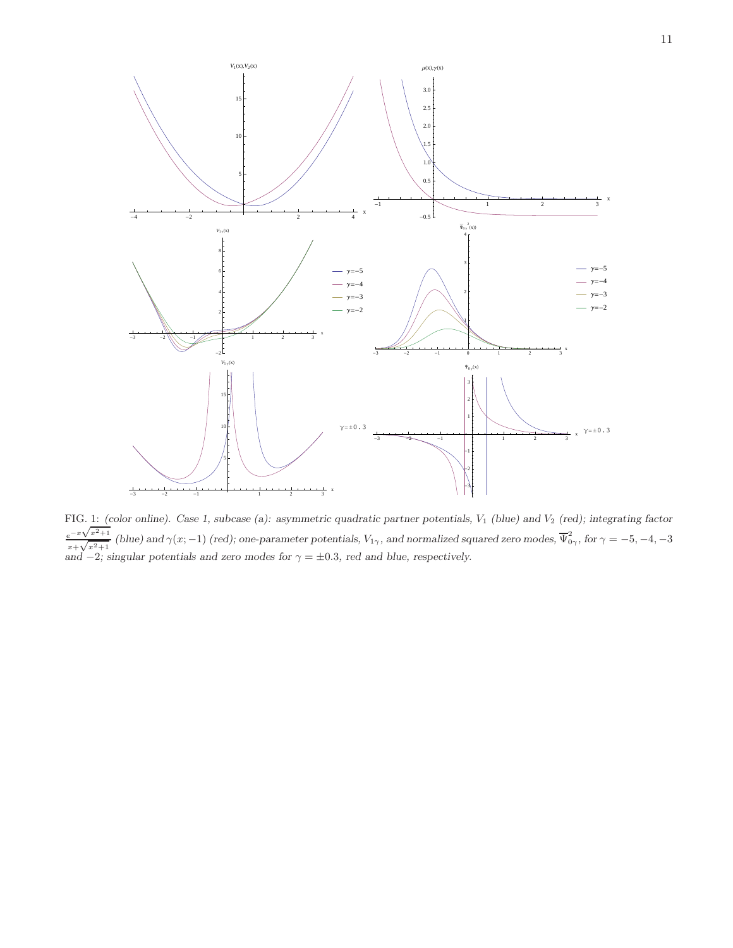

<span id="page-10-0"></span>FIG. 1: *(color online). Case 1, subcase (a): asymmetric quadratic partner potentials,*  $V_1$  *(blue) and*  $V_2$  *(red); integrating factor*  $e^{-x\sqrt{x^2+1}}$  $\frac{e^{-x\sqrt{x^2+1}}}{x+\sqrt{x^2+1}}$  *(blue)* and  $\gamma(x;-1)$  *(red);* one-parameter potentials,  $V_{1\gamma}$ , and normalized squared zero modes,  $\overline{\Psi}_{0\gamma}^2$ , for  $\gamma = -5, -4, -3$ *and*  $-2$ *; singular potentials and zero modes for*  $\gamma = \pm 0.3$ *, red and blue, respectively.*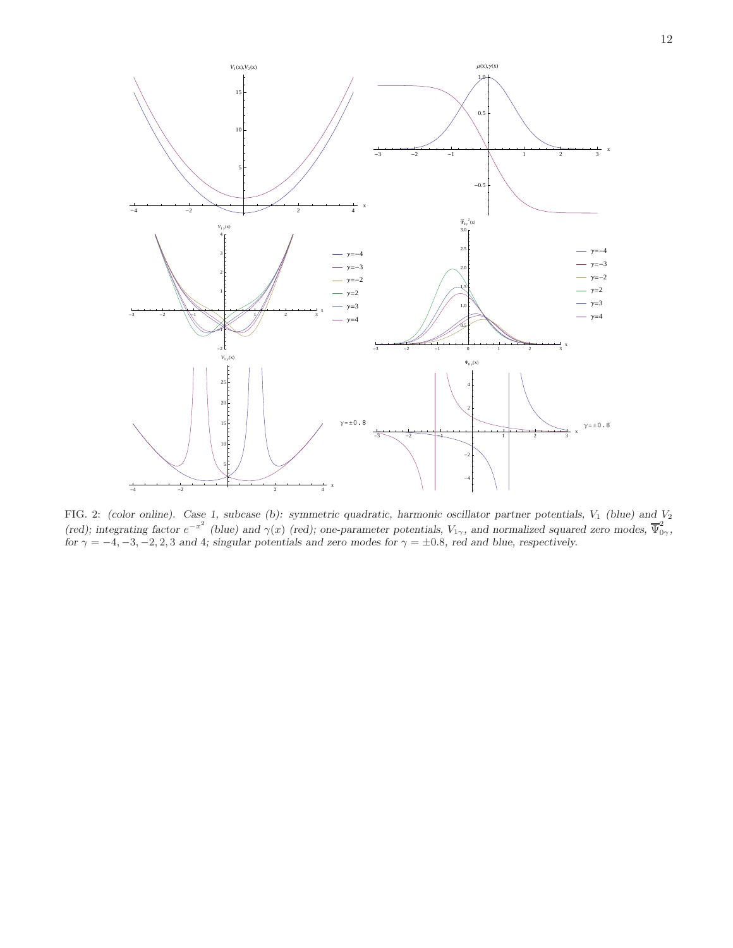

<span id="page-11-0"></span>FIG. 2: *(color online).* Case 1, subcase (b): symmetric quadratic, harmonic oscillator partner potentials, V<sub>1</sub> *(blue)* and V<sub>2</sub> *(red); integrating factor*  $e^{-x^2}$  *(blue)* and  $\gamma(x)$  *(red); one-parameter potentials,*  $V_{1\gamma}$ *, and normalized squared zero modes,*  $\overline{\Psi}_{0\gamma}^2$ *, for*  $\gamma = -4, -3, -2, 2, 3$  *and* 4*; singular potentials and zero modes for*  $\gamma = \pm 0.8$ *, red and blue, respectively.*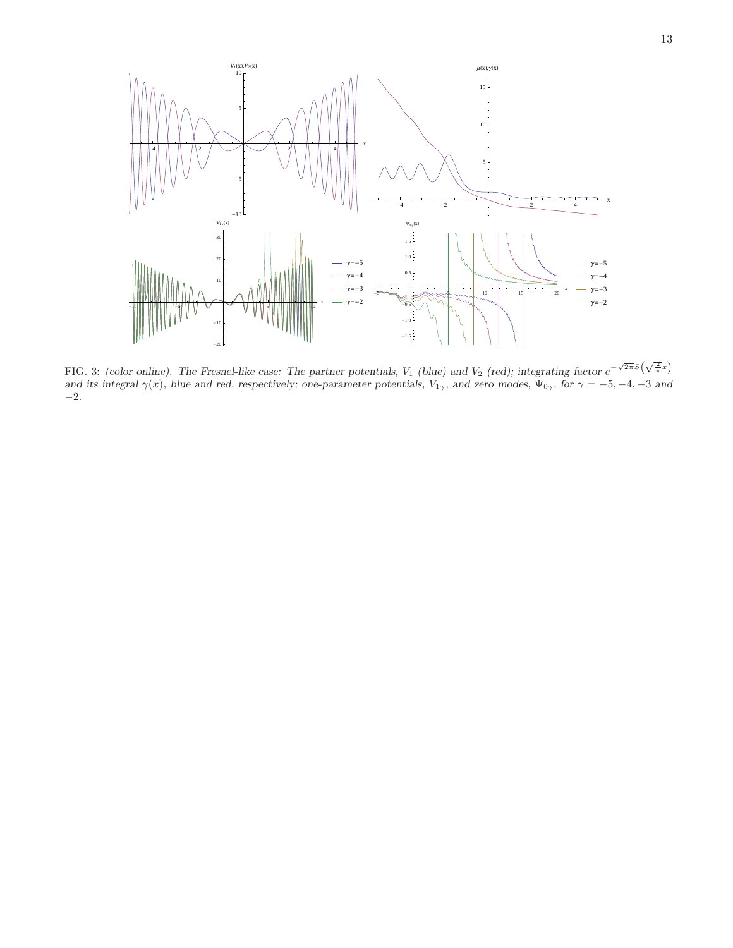

<span id="page-12-0"></span>FIG. 3: *(color online)*. The Fresnel-like case: The partner potentials,  $V_1$  *(blue)* and  $V_2$  *(red); integrating factor*  $e^{-\sqrt{2\pi}S(\sqrt{\frac{2}{\pi}}x)}$ *and its integral*  $\gamma(x)$ *, blue and red, respectively; one-parameter potentials,*  $V_{1\gamma}$ *, and zero modes,*  $\Psi_{0\gamma}$ *, for*  $\gamma = -5, -4, -3$  *and* −2*.*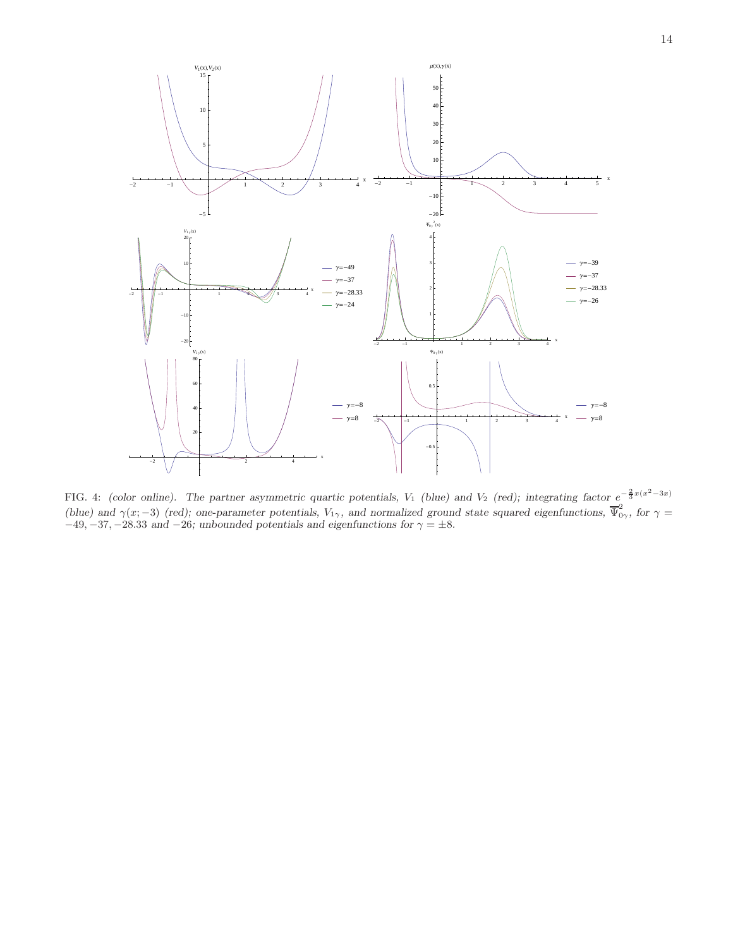

<span id="page-13-0"></span>FIG. 4: *(color online).* The partner asymmetric quartic potentials,  $V_1$  *(blue)* and  $V_2$  *(red); integrating factor*  $e^{-\frac{2}{3}x(x^2-3x)}$ *(blue)* and  $\gamma(x; -3)$  *(red); one-parameter potentials,*  $V_{1\gamma}$ *, and normalized ground state squared eigenfunctions,*  $\overline{\Psi}_{0\gamma}^2$ *, for*  $\gamma =$  $-49, -37, -28.33$  *and*  $-26$ *; unbounded potentials and eigenfunctions for*  $\gamma = \pm 8$ *.*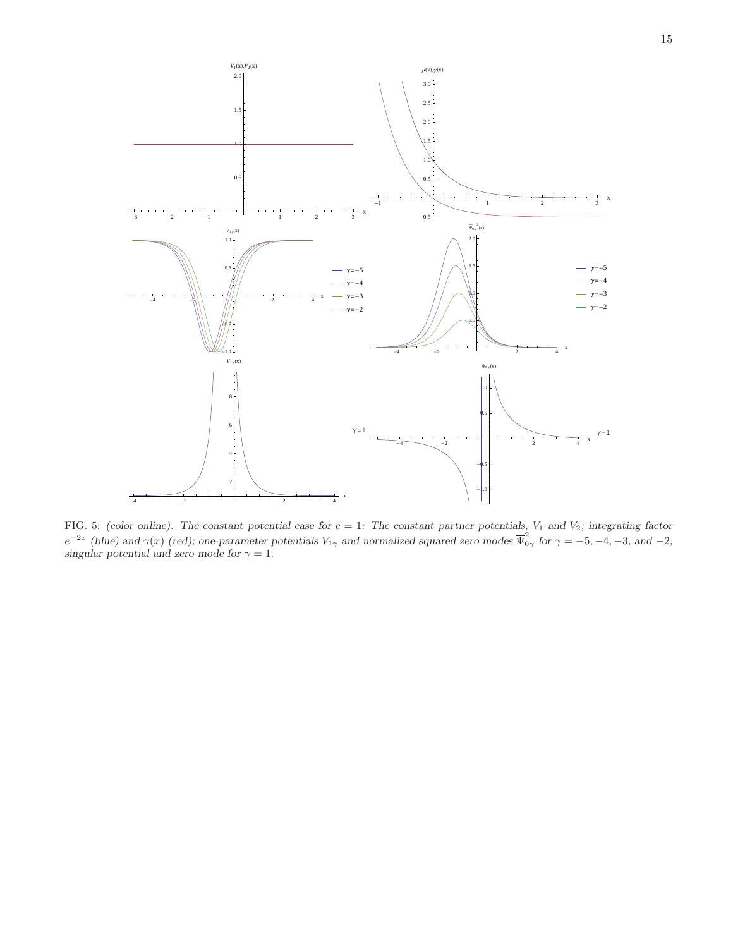

<span id="page-14-0"></span>FIG. 5: *(color online). The constant potential case for*  $c = 1$ : The constant partner potentials,  $V_1$  and  $V_2$ ; integrating factor  $e^{-2x}$  (blue) and  $\gamma(x)$  (red); one-parameter potentials  $V_{1\gamma}$  and normalized squared zero modes  $\overline{\Psi}^2_{0\gamma}$  for  $\gamma = -5, -4, -3,$  and  $-2$ ; singular potential and zero mode for  $\gamma = 1$ .